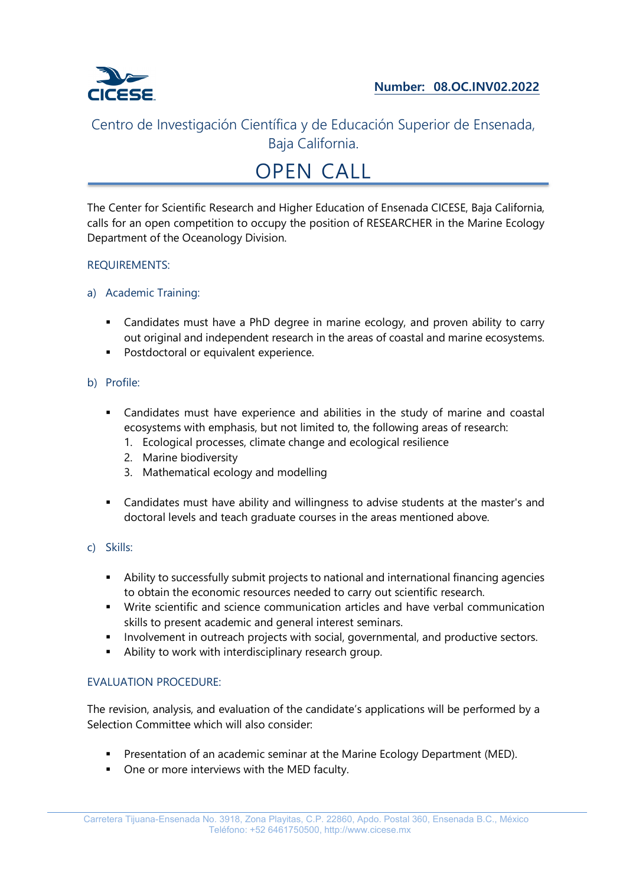

# OPEN CALL

The Center for Scientific Research and Higher Education of Ensenada CICESE, Baja California, calls for an open competition to occupy the position of RESEARCHER in the Marine Ecology Department of the Oceanology Division.

#### REQUIREMENTS:

- a) Academic Training:
	- Candidates must have a PhD degree in marine ecology, and proven ability to carry out original and independent research in the areas of coastal and marine ecosystems.
	- **Postdoctoral or equivalent experience.**
- b) Profile:
	- Candidates must have experience and abilities in the study of marine and coastal ecosystems with emphasis, but not limited to, the following areas of research:
		- 1. Ecological processes, climate change and ecological resilience
		- 2. Marine biodiversity
		- 3. Mathematical ecology and modelling
	- Candidates must have ability and willingness to advise students at the master's and doctoral levels and teach graduate courses in the areas mentioned above.
- c) Skills:
	- Ability to successfully submit projects to national and international financing agencies to obtain the economic resources needed to carry out scientific research.
	- Write scientific and science communication articles and have verbal communication skills to present academic and general interest seminars.
	- **IDED** Involvement in outreach projects with social, governmental, and productive sectors.
	- Ability to work with interdisciplinary research group.

#### EVALUATION PROCEDURE:

The revision, analysis, and evaluation of the candidate's applications will be performed by a Selection Committee which will also consider:

- Presentation of an academic seminar at the Marine Ecology Department (MED).
- One or more interviews with the MED faculty.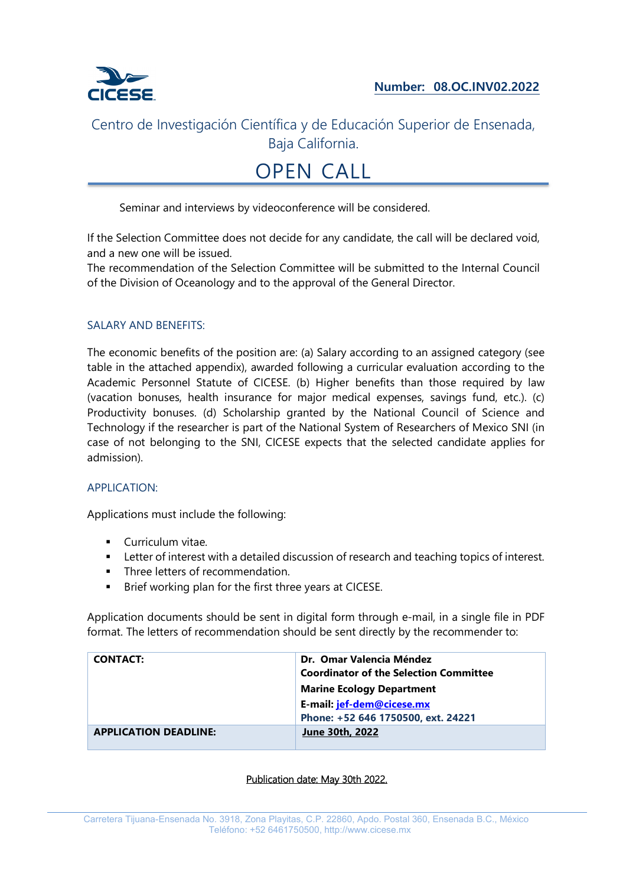

## OPEN CALL

Seminar and interviews by videoconference will be considered.

If the Selection Committee does not decide for any candidate, the call will be declared void, and a new one will be issued.

The recommendation of the Selection Committee will be submitted to the Internal Council of the Division of Oceanology and to the approval of the General Director.

#### SALARY AND BENEFITS:

The economic benefits of the position are: (a) Salary according to an assigned category (see table in the attached appendix), awarded following a curricular evaluation according to the Academic Personnel Statute of CICESE. (b) Higher benefits than those required by law (vacation bonuses, health insurance for major medical expenses, savings fund, etc.). (c) Productivity bonuses. (d) Scholarship granted by the National Council of Science and Technology if the researcher is part of the National System of Researchers of Mexico SNI (in case of not belonging to the SNI, CICESE expects that the selected candidate applies for admission).

#### APPLICATION:

Applications must include the following:

- **Curriculum vitae.**
- **EXECT** Letter of interest with a detailed discussion of research and teaching topics of interest.
- Three letters of recommendation.
- **Brief working plan for the first three years at CICESE.**

Application documents should be sent in digital form through e-mail, in a single file in PDF format. The letters of recommendation should be sent directly by the recommender to:

| <b>CONTACT:</b>              | Dr. Omar Valencia Méndez                      |  |
|------------------------------|-----------------------------------------------|--|
|                              | <b>Coordinator of the Selection Committee</b> |  |
|                              | <b>Marine Ecology Department</b>              |  |
|                              | E-mail: jef-dem@cicese.mx                     |  |
|                              | Phone: +52 646 1750500, ext. 24221            |  |
| <b>APPLICATION DEADLINE:</b> | <b>June 30th, 2022</b>                        |  |

#### Publication date: May 30th 2022.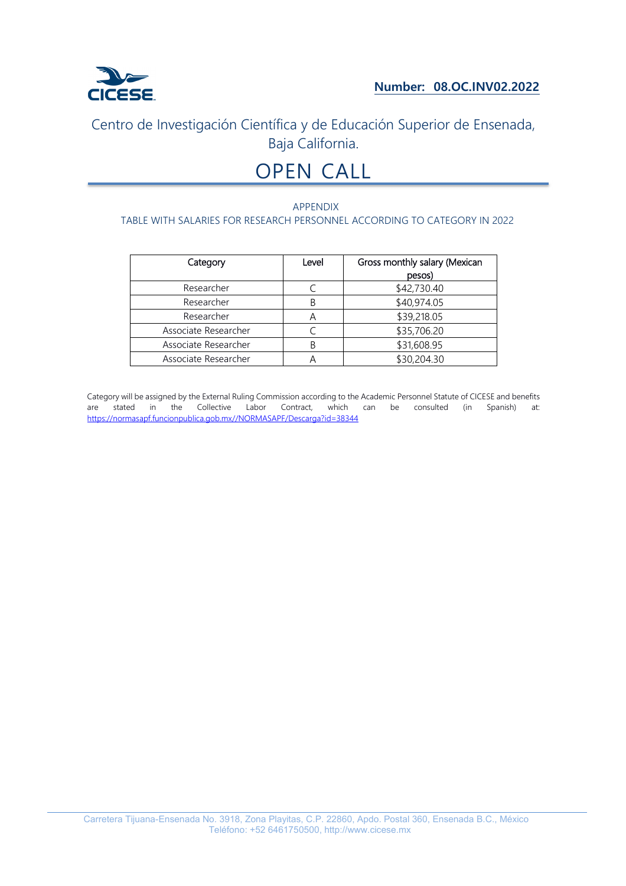

# OPEN CALL

#### APPENDIX TABLE WITH SALARIES FOR RESEARCH PERSONNEL ACCORDING TO CATEGORY IN 2022

| Category             | Level | Gross monthly salary (Mexican |
|----------------------|-------|-------------------------------|
|                      |       | pesos)                        |
| Researcher           |       | \$42,730.40                   |
| Researcher           | R     | \$40,974.05                   |
| Researcher           |       | \$39,218.05                   |
| Associate Researcher |       | \$35,706.20                   |
| Associate Researcher | R     | \$31,608.95                   |
| Associate Researcher |       | \$30,204.30                   |

Category will be assigned by the External Ruling Commission according to the Academic Personnel Statute of CICESE and benefits are stated in the Collective Labor Contract, which can be consulted (in Spanish) at: https://normasapf.funcionpublica.gob.mx//NORMASAPF/Descarga?id=38344